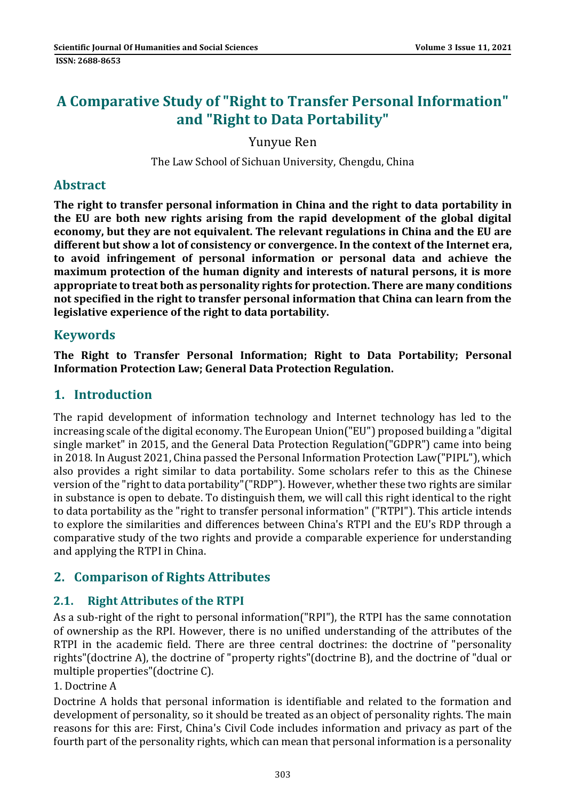# **A Comparative Study of "Right to Transfer Personal Information" and "Right to Data Portability"**

Yunyue Ren

The Law School of Sichuan University, Chengdu, China

## **Abstract**

**The right to transfer personal information in China and the right to data portability in the EU are both new rights arising from the rapid development of the global digital economy, but they are not equivalent. The relevant regulations in China and the EU are different but show a lot of consistency or convergence. In the context of the Internet era, to avoid infringement of personal information or personal data and achieve the maximum protection of the human dignity and interests of natural persons, it is more appropriate to treat both as personality rights for protection. There are many conditions not specified in the right to transfer personal information that China can learn from the legislative experience of the right to data portability.**

## **Keywords**

**The Right to Transfer Personal Information; Right to Data Portability; Personal Information Protection Law; General Data Protection Regulation.**

## **1. Introduction**

The rapid development of information technology and Internet technology has led to the increasing scale of the digital economy. The European Union("EU") proposed building a "digital single market" in 2015, and the General Data Protection Regulation("GDPR") came into being in 2018. In August 2021, China passed the Personal Information Protection Law("PIPL"), which also provides a right similar to data portability. Some scholars refer to this as the Chinese version of the "right to data portability"("RDP"). However, whether these two rights are similar in substance is open to debate. To distinguish them, we will call this right identical to the right to data portability as the "right to transfer personal information" ("RTPI"). This article intends to explore the similarities and differences between China's RTPI and the EU's RDP through a comparative study of the two rights and provide a comparable experience for understanding and applying the RTPI in China.

## **2. Comparison of Rights Attributes**

## **2.1. Right Attributes of the RTPI**

As a sub-right of the right to personal information("RPI"), the RTPI has the same connotation of ownership as the RPI. However, there is no unified understanding of the attributes of the RTPI in the academic field. There are three central doctrines: the doctrine of "personality rights"(doctrine A), the doctrine of "property rights"(doctrine B), and the doctrine of "dual or multiple properties"(doctrine C).

### 1. Doctrine A

Doctrine A holds that personal information is identifiable and related to the formation and development of personality, so it should be treated as an object of personality rights. The main reasons for this are: First, China's Civil Code includes information and privacy as part of the fourth part of the personality rights, which can mean that personal information is a personality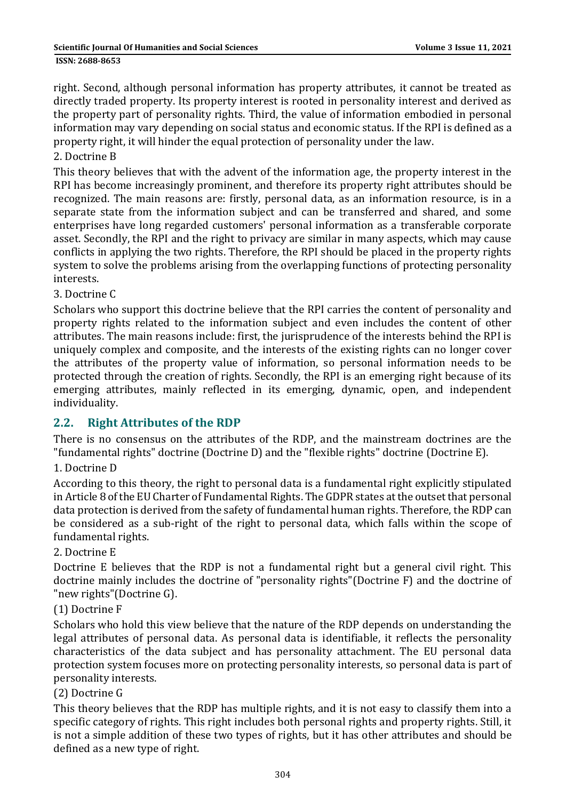right. Second, although personal information has property attributes, it cannot be treated as directly traded property. Its property interest is rooted in personality interest and derived as the property part of personality rights. Third, the value of information embodied in personal information may vary depending on social status and economic status. If the RPI is defined as a property right, it will hinder the equal protection of personality under the law.

#### 2. Doctrine B

This theory believes that with the advent of the information age, the property interest in the RPI has become increasingly prominent, and therefore its property right attributes should be recognized. The main reasons are: firstly, personal data, as an information resource, is in a separate state from the information subject and can be transferred and shared, and some enterprises have long regarded customers' personal information as a transferable corporate asset. Secondly, the RPI and the right to privacy are similar in many aspects, which may cause conflicts in applying the two rights. Therefore, the RPI should be placed in the property rights system to solve the problems arising from the overlapping functions of protecting personality interests.

#### 3. Doctrine C

Scholars who support this doctrine believe that the RPI carries the content of personality and property rights related to the information subject and even includes the content of other attributes. The main reasons include: first, the jurisprudence of the interests behind the RPI is uniquely complex and composite, and the interests of the existing rights can no longer cover the attributes of the property value of information, so personal information needs to be protected through the creation of rights. Secondly, the RPI is an emerging right because of its emerging attributes, mainly reflected in its emerging, dynamic, open, and independent individuality.

### **2.2. Right Attributes of the RDP**

There is no consensus on the attributes of the RDP, and the mainstream doctrines are the "fundamental rights" doctrine (Doctrine D) and the "flexible rights" doctrine (Doctrine E).

#### 1. Doctrine D

According to this theory, the right to personal data is a fundamental right explicitly stipulated in Article 8 of the EU Charter of Fundamental Rights. The GDPR states at the outset that personal data protection is derived from the safety of fundamental human rights. Therefore, the RDP can be considered as a sub-right of the right to personal data, which falls within the scope of fundamental rights.

#### 2. Doctrine E

Doctrine E believes that the RDP is not a fundamental right but a general civil right. This doctrine mainly includes the doctrine of "personality rights"(Doctrine F) and the doctrine of "new rights"(Doctrine G).

#### (1) Doctrine F

Scholars who hold this view believe that the nature of the RDP depends on understanding the legal attributes of personal data. As personal data is identifiable, it reflects the personality characteristics of the data subject and has personality attachment. The EU personal data protection system focuses more on protecting personality interests, so personal data is part of personality interests.

#### (2) Doctrine G

This theory believes that the RDP has multiple rights, and it is not easy to classify them into a specific category of rights. This right includes both personal rights and property rights. Still, it is not a simple addition of these two types of rights, but it has other attributes and should be defined as a new type of right.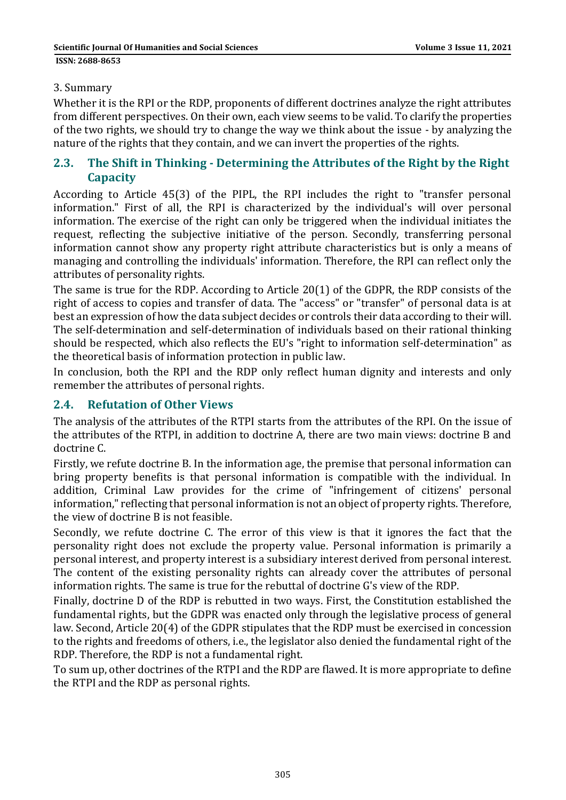#### 3. Summary

Whether it is the RPI or the RDP, proponents of different doctrines analyze the right attributes from different perspectives. On their own, each view seems to be valid. To clarify the properties of the two rights, we should try to change the way we think about the issue - by analyzing the nature of the rights that they contain, and we can invert the properties of the rights.

### **2.3. The Shift in Thinking - Determining the Attributes of the Right by the Right Capacity**

According to Article 45(3) of the PIPL, the RPI includes the right to "transfer personal information." First of all, the RPI is characterized by the individual's will over personal information. The exercise of the right can only be triggered when the individual initiates the request, reflecting the subjective initiative of the person. Secondly, transferring personal information cannot show any property right attribute characteristics but is only a means of managing and controlling the individuals' information. Therefore, the RPI can reflect only the attributes of personality rights.

The same is true for the RDP. According to Article 20(1) of the GDPR, the RDP consists of the right of access to copies and transfer of data. The "access" or "transfer" of personal data is at best an expression of how the data subject decides or controls their data according to their will. The self-determination and self-determination of individuals based on their rational thinking should be respected, which also reflects the EU's "right to information self-determination" as the theoretical basis of information protection in public law.

In conclusion, both the RPI and the RDP only reflect human dignity and interests and only remember the attributes of personal rights.

### **2.4. Refutation of Other Views**

The analysis of the attributes of the RTPI starts from the attributes of the RPI. On the issue of the attributes of the RTPI, in addition to doctrine A, there are two main views: doctrine B and doctrine C.

Firstly, we refute doctrine B. In the information age, the premise that personal information can bring property benefits is that personal information is compatible with the individual. In addition, Criminal Law provides for the crime of "infringement of citizens' personal information," reflecting that personal information is not an object of property rights. Therefore, the view of doctrine B is not feasible.

Secondly, we refute doctrine C. The error of this view is that it ignores the fact that the personality right does not exclude the property value. Personal information is primarily a personal interest, and property interest is a subsidiary interest derived from personal interest. The content of the existing personality rights can already cover the attributes of personal information rights. The same is true for the rebuttal of doctrine G's view of the RDP.

Finally, doctrine D of the RDP is rebutted in two ways. First, the Constitution established the fundamental rights, but the GDPR was enacted only through the legislative process of general law. Second, Article 20(4) of the GDPR stipulates that the RDP must be exercised in concession to the rights and freedoms of others, i.e., the legislator also denied the fundamental right of the RDP. Therefore, the RDP is not a fundamental right.

To sum up, other doctrines of the RTPI and the RDP are flawed. It is more appropriate to define the RTPI and the RDP as personal rights.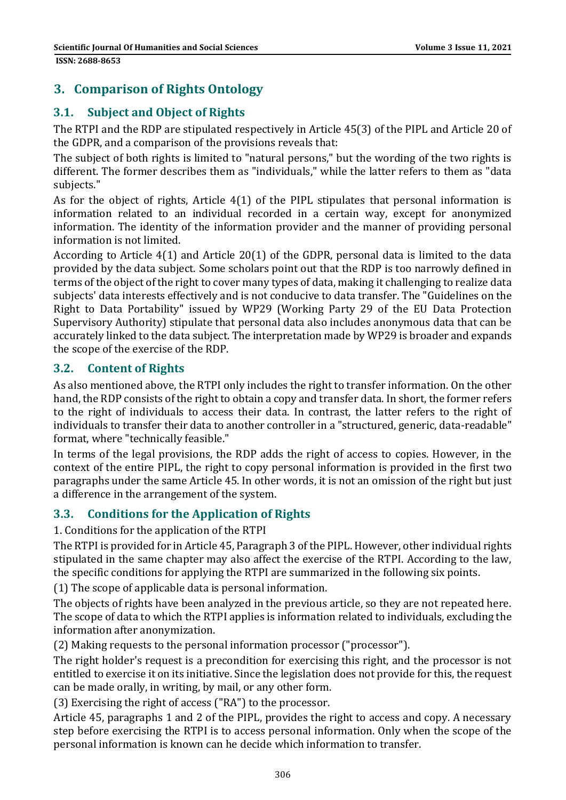## **3. Comparison of Rights Ontology**

## **3.1. Subject and Object of Rights**

The RTPI and the RDP are stipulated respectively in Article 45(3) of the PIPL and Article 20 of the GDPR, and a comparison of the provisions reveals that:

The subject of both rights is limited to "natural persons," but the wording of the two rights is different. The former describes them as "individuals," while the latter refers to them as "data subjects."

As for the object of rights, Article 4(1) of the PIPL stipulates that personal information is information related to an individual recorded in a certain way, except for anonymized information. The identity of the information provider and the manner of providing personal information is not limited.

According to Article 4(1) and Article 20(1) of the GDPR, personal data is limited to the data provided by the data subject. Some scholars point out that the RDP is too narrowly defined in terms of the object of the right to cover many types of data, making it challenging to realize data subjects' data interests effectively and is not conducive to data transfer. The "Guidelines on the Right to Data Portability" issued by WP29 (Working Party 29 of the EU Data Protection Supervisory Authority) stipulate that personal data also includes anonymous data that can be accurately linked to the data subject. The interpretation made by WP29 is broader and expands the scope of the exercise of the RDP.

### **3.2. Content of Rights**

As also mentioned above, the RTPI only includes the right to transfer information. On the other hand, the RDP consists of the right to obtain a copy and transfer data. In short, the former refers to the right of individuals to access their data. In contrast, the latter refers to the right of individuals to transfer their data to another controller in a "structured, generic, data-readable" format, where "technically feasible."

In terms of the legal provisions, the RDP adds the right of access to copies. However, in the context of the entire PIPL, the right to copy personal information is provided in the first two paragraphs under the same Article 45. In other words, it is not an omission of the right but just a difference in the arrangement of the system.

### **3.3. Conditions for the Application of Rights**

### 1. Conditions for the application of the RTPI

The RTPI is provided for in Article 45, Paragraph 3 of the PIPL. However, other individual rights stipulated in the same chapter may also affect the exercise of the RTPI. According to the law, the specific conditions for applying the RTPI are summarized in the following six points.

(1) The scope of applicable data is personal information.

The objects of rights have been analyzed in the previous article, so they are not repeated here. The scope of data to which the RTPI applies is information related to individuals, excluding the information after anonymization.

(2) Making requests to the personal information processor ("processor").

The right holder's request is a precondition for exercising this right, and the processor is not entitled to exercise it on its initiative. Since the legislation does not provide for this, the request can be made orally, in writing, by mail, or any other form.

(3) Exercising the right of access ("RA") to the processor.

Article 45, paragraphs 1 and 2 of the PIPL, provides the right to access and copy. A necessary step before exercising the RTPI is to access personal information. Only when the scope of the personal information is known can he decide which information to transfer.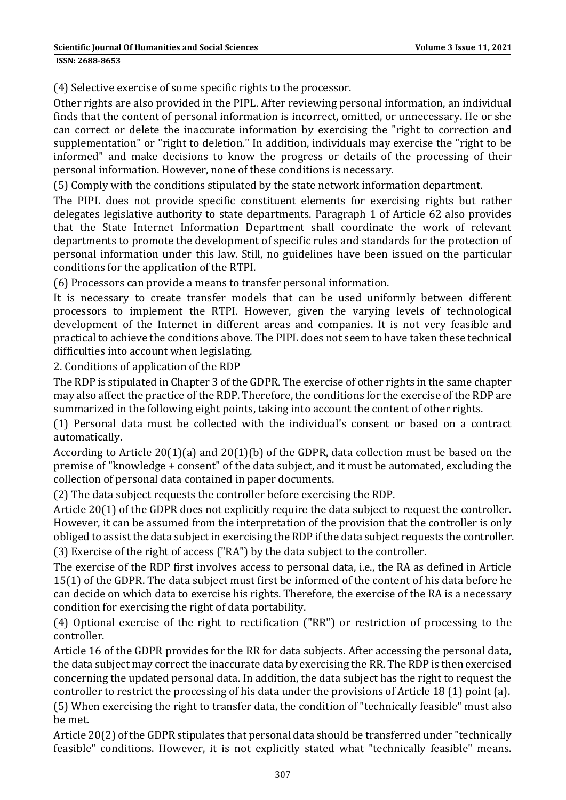**ISSN: 2688-8653** 

(4) Selective exercise of some specific rights to the processor.

Other rights are also provided in the PIPL. After reviewing personal information, an individual finds that the content of personal information is incorrect, omitted, or unnecessary. He or she can correct or delete the inaccurate information by exercising the "right to correction and supplementation" or "right to deletion." In addition, individuals may exercise the "right to be informed" and make decisions to know the progress or details of the processing of their personal information. However, none of these conditions is necessary.

(5) Comply with the conditions stipulated by the state network information department.

The PIPL does not provide specific constituent elements for exercising rights but rather delegates legislative authority to state departments. Paragraph 1 of Article 62 also provides that the State Internet Information Department shall coordinate the work of relevant departments to promote the development of specific rules and standards for the protection of personal information under this law. Still, no guidelines have been issued on the particular conditions for the application of the RTPI.

(6) Processors can provide a means to transfer personal information.

It is necessary to create transfer models that can be used uniformly between different processors to implement the RTPI. However, given the varying levels of technological development of the Internet in different areas and companies. It is not very feasible and practical to achieve the conditions above. The PIPL does not seem to have taken these technical difficulties into account when legislating.

2. Conditions of application of the RDP

The RDP is stipulated in Chapter 3 of the GDPR. The exercise of other rights in the same chapter may also affect the practice of the RDP. Therefore, the conditions for the exercise of the RDP are summarized in the following eight points, taking into account the content of other rights.

(1) Personal data must be collected with the individual's consent or based on a contract automatically.

According to Article 20(1)(a) and 20(1)(b) of the GDPR, data collection must be based on the premise of "knowledge + consent" of the data subject, and it must be automated, excluding the collection of personal data contained in paper documents.

(2) The data subject requests the controller before exercising the RDP.

Article 20(1) of the GDPR does not explicitly require the data subject to request the controller. However, it can be assumed from the interpretation of the provision that the controller is only obliged to assist the data subject in exercising the RDP if the data subject requests the controller. (3) Exercise of the right of access ("RA") by the data subject to the controller.

The exercise of the RDP first involves access to personal data, i.e., the RA as defined in Article 15(1) of the GDPR. The data subject must first be informed of the content of his data before he can decide on which data to exercise his rights. Therefore, the exercise of the RA is a necessary condition for exercising the right of data portability.

(4) Optional exercise of the right to rectification ("RR") or restriction of processing to the controller.

Article 16 of the GDPR provides for the RR for data subjects. After accessing the personal data, the data subject may correct the inaccurate data by exercising the RR. The RDP is then exercised concerning the updated personal data. In addition, the data subject has the right to request the controller to restrict the processing of his data under the provisions of Article 18 (1) point (a).

(5) When exercising the right to transfer data, the condition of "technically feasible" must also be met.

Article 20(2) of the GDPR stipulates that personal data should be transferred under "technically feasible" conditions. However, it is not explicitly stated what "technically feasible" means.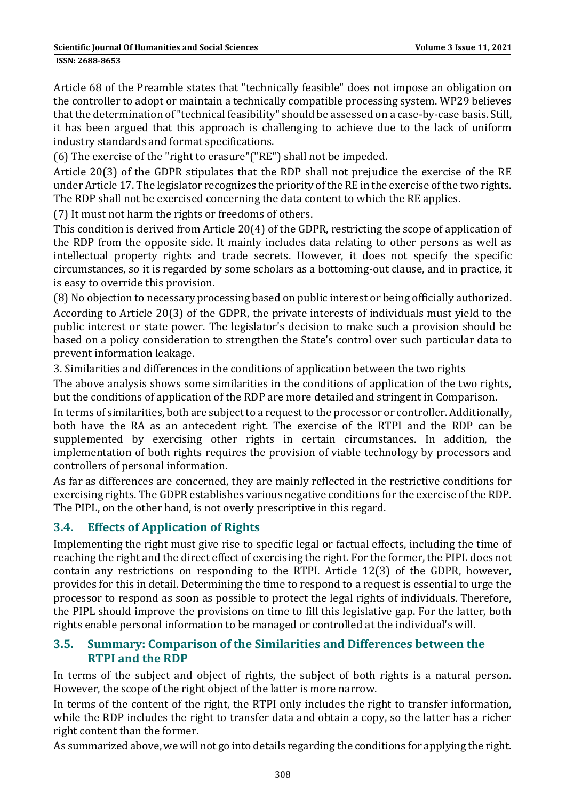**ISSN: 2688-8653** 

Article 68 of the Preamble states that "technically feasible" does not impose an obligation on the controller to adopt or maintain a technically compatible processing system. WP29 believes that the determination of "technical feasibility" should be assessed on a case-by-case basis. Still, it has been argued that this approach is challenging to achieve due to the lack of uniform industry standards and format specifications.

(6) The exercise of the "right to erasure"("RE") shall not be impeded.

Article 20(3) of the GDPR stipulates that the RDP shall not prejudice the exercise of the RE under Article 17. The legislator recognizes the priority of the RE in the exercise of the two rights. The RDP shall not be exercised concerning the data content to which the RE applies.

(7) It must not harm the rights or freedoms of others.

This condition is derived from Article 20(4) of the GDPR, restricting the scope of application of the RDP from the opposite side. It mainly includes data relating to other persons as well as intellectual property rights and trade secrets. However, it does not specify the specific circumstances, so it is regarded by some scholars as a bottoming-out clause, and in practice, it is easy to override this provision.

(8) No objection to necessary processing based on public interest or being officially authorized. According to Article 20(3) of the GDPR, the private interests of individuals must yield to the public interest or state power. The legislator's decision to make such a provision should be based on a policy consideration to strengthen the State's control over such particular data to prevent information leakage.

3. Similarities and differences in the conditions of application between the two rights

The above analysis shows some similarities in the conditions of application of the two rights, but the conditions of application of the RDP are more detailed and stringent in Comparison.

In terms of similarities, both are subject to a request to the processor or controller. Additionally, both have the RA as an antecedent right. The exercise of the RTPI and the RDP can be supplemented by exercising other rights in certain circumstances. In addition, the implementation of both rights requires the provision of viable technology by processors and controllers of personal information.

As far as differences are concerned, they are mainly reflected in the restrictive conditions for exercising rights. The GDPR establishes various negative conditions for the exercise of the RDP. The PIPL, on the other hand, is not overly prescriptive in this regard.

## **3.4. Effects of Application of Rights**

Implementing the right must give rise to specific legal or factual effects, including the time of reaching the right and the direct effect of exercising the right. For the former, the PIPL does not contain any restrictions on responding to the RTPI. Article 12(3) of the GDPR, however, provides for this in detail. Determining the time to respond to a request is essential to urge the processor to respond as soon as possible to protect the legal rights of individuals. Therefore, the PIPL should improve the provisions on time to fill this legislative gap. For the latter, both rights enable personal information to be managed or controlled at the individual's will.

### **3.5. Summary: Comparison of the Similarities and Differences between the RTPI and the RDP**

In terms of the subject and object of rights, the subject of both rights is a natural person. However, the scope of the right object of the latter is more narrow.

In terms of the content of the right, the RTPI only includes the right to transfer information, while the RDP includes the right to transfer data and obtain a copy, so the latter has a richer right content than the former.

As summarized above, we will not go into details regarding the conditions for applying the right.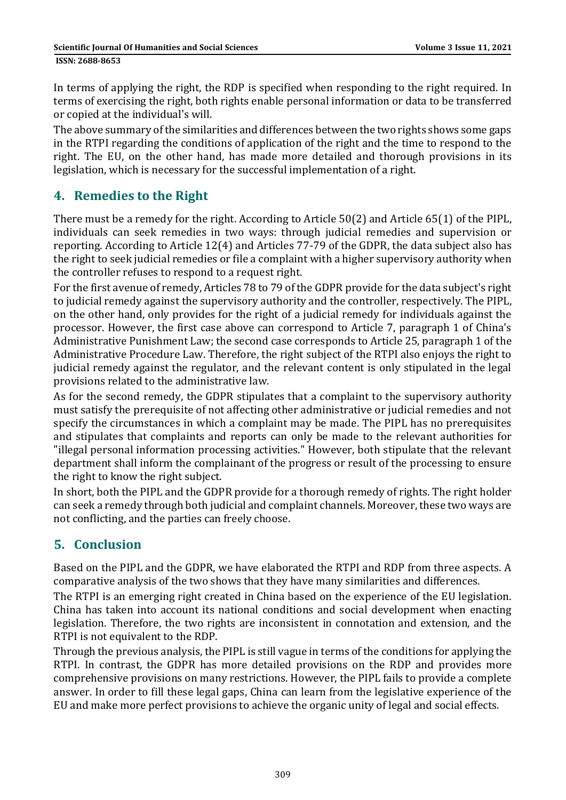In terms of applying the right, the RDP is specified when responding to the right required. In terms of exercising the right, both rights enable personal information or data to be transferred or copied at the individual's will.

The above summary of the similarities and differences between the two rights shows some gaps in the RTPI regarding the conditions of application of the right and the time to respond to the right. The EU, on the other hand, has made more detailed and thorough provisions in its legislation, which is necessary for the successful implementation of a right.

## **4. Remedies to the Right**

There must be a remedy for the right. According to Article 50(2) and Article 65(1) of the PIPL, individuals can seek remedies in two ways: through judicial remedies and supervision or reporting. According to Article 12(4) and Articles 77-79 of the GDPR, the data subject also has the right to seek judicial remedies or file a complaint with a higher supervisory authority when the controller refuses to respond to a request right.

For the first avenue of remedy, Articles 78 to 79 of the GDPR provide for the data subject's right to judicial remedy against the supervisory authority and the controller, respectively. The PIPL, on the other hand, only provides for the right of a judicial remedy for individuals against the processor. However, the first case above can correspond to Article 7, paragraph 1 of China's Administrative Punishment Law; the second case corresponds to Article 25, paragraph 1 of the Administrative Procedure Law. Therefore, the right subject of the RTPI also enjoys the right to judicial remedy against the regulator, and the relevant content is only stipulated in the legal provisions related to the administrative law.

As for the second remedy, the GDPR stipulates that a complaint to the supervisory authority must satisfy the prerequisite of not affecting other administrative or judicial remedies and not specify the circumstances in which a complaint may be made. The PIPL has no prerequisites and stipulates that complaints and reports can only be made to the relevant authorities for "illegal personal information processing activities." However, both stipulate that the relevant department shall inform the complainant of the progress or result of the processing to ensure the right to know the right subject.

In short, both the PIPL and the GDPR provide for a thorough remedy of rights. The right holder can seek a remedy through both judicial and complaint channels. Moreover, these two ways are not conflicting, and the parties can freely choose.

## **5. Conclusion**

Based on the PIPL and the GDPR, we have elaborated the RTPI and RDP from three aspects. A comparative analysis of the two shows that they have many similarities and differences.

The RTPI is an emerging right created in China based on the experience of the EU legislation. China has taken into account its national conditions and social development when enacting legislation. Therefore, the two rights are inconsistent in connotation and extension, and the RTPI is not equivalent to the RDP.

Through the previous analysis, the PIPL is still vague in terms of the conditions for applying the RTPI. In contrast, the GDPR has more detailed provisions on the RDP and provides more comprehensive provisions on many restrictions. However, the PIPL fails to provide a complete answer. In order to fill these legal gaps, China can learn from the legislative experience of the EU and make more perfect provisions to achieve the organic unity of legal and social effects.